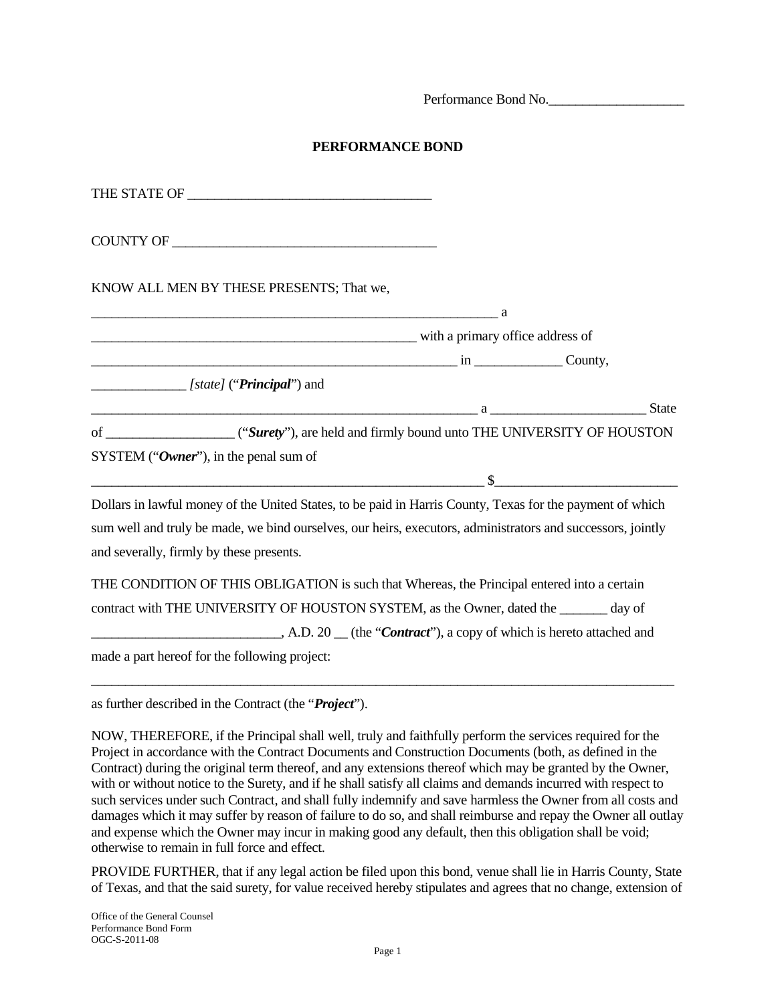Performance Bond No.

## **PERFORMANCE BOND**

| KNOW ALL MEN BY THESE PRESENTS; That we,                                                                              |  |
|-----------------------------------------------------------------------------------------------------------------------|--|
|                                                                                                                       |  |
| with a primary office address of                                                                                      |  |
| $\sin \frac{\pi x}{2}$ County,                                                                                        |  |
| [state] (" <b>Principal</b> ") and                                                                                    |  |
| <u>a a seu estado en seu estado en el control de la contrada de la contrada de la contrada de la contrada de la c</u> |  |
|                                                                                                                       |  |
| SYSTEM ("Owner"), in the penal sum of                                                                                 |  |
|                                                                                                                       |  |
| Dollars in lawful money of the United States, to be paid in Harris County, Texas for the payment of which             |  |
| sum well and truly be made, we bind ourselves, our heirs, executors, administrators and successors, jointly           |  |
| and severally, firmly by these presents.                                                                              |  |
|                                                                                                                       |  |
| THE CONDITION OF THIS OBLIGATION is such that Whereas, the Principal entered into a certain                           |  |
| contract with THE UNIVERSITY OF HOUSTON SYSTEM, as the Owner, dated the ______ day of                                 |  |
| $A.D. 20$ (the " <i>Contract</i> "), a copy of which is hereto attached and                                           |  |
| made a part hereof for the following project:                                                                         |  |

as further described in the Contract (the "*Project*").

NOW, THEREFORE, if the Principal shall well, truly and faithfully perform the services required for the Project in accordance with the Contract Documents and Construction Documents (both, as defined in the Contract) during the original term thereof, and any extensions thereof which may be granted by the Owner, with or without notice to the Surety, and if he shall satisfy all claims and demands incurred with respect to such services under such Contract, and shall fully indemnify and save harmless the Owner from all costs and damages which it may suffer by reason of failure to do so, and shall reimburse and repay the Owner all outlay and expense which the Owner may incur in making good any default, then this obligation shall be void; otherwise to remain in full force and effect.

PROVIDE FURTHER, that if any legal action be filed upon this bond, venue shall lie in Harris County, State of Texas, and that the said surety, for value received hereby stipulates and agrees that no change, extension of